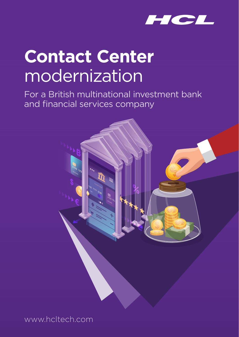

# **Contact Center**  modernization

For a British multinational investment bank and financial services company



www.hcltech.com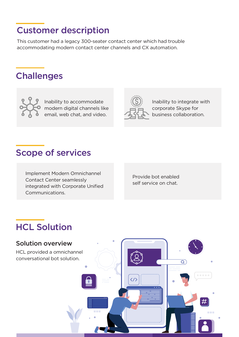# Customer description

This customer had a legacy 300-seater contact center which had trouble accommodating modern contact center channels and CX automation.

## **Challenges**



Inability to accommodate modern digital channels like email, web chat, and video.



Inability to integrate with corporate Skype for business collaboration.

## Scope of services

Implement Modern Omnichannel Contact Center seamlessly integrated with Corporate Unified Communications.

Provide bot enabled self service on chat.

## HCL Solution

#### Solution overview

HCL provided a omnichannel conversational bot solution.